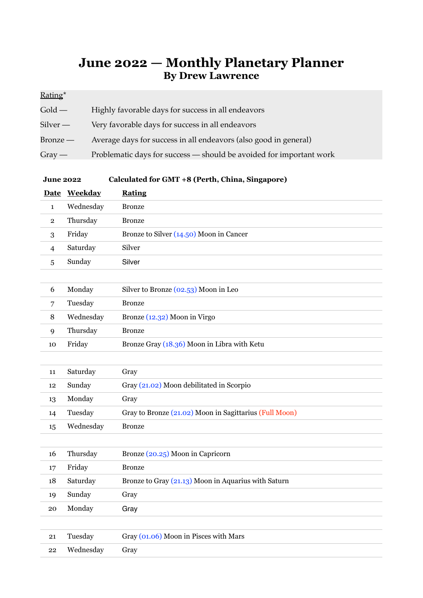## **June 2022 — Monthly Planetary Planner By Drew Lawrence**

## Rating\*

| $\mathop{\mathrm{Gold}}\nolimits-$ | Highly favorable days for success in all endeavors                  |
|------------------------------------|---------------------------------------------------------------------|
| Silver —                           | Very favorable days for success in all endeavors                    |
| Bronze —                           | Average days for success in all endeavors (also good in general)    |
| $Gray -$                           | Problematic days for success — should be avoided for important work |

## **June 2022 Calculated for GMT +8 (Perth, China, Singapore)**

|                | Date Weekday | <b>Rating</b>                                          |
|----------------|--------------|--------------------------------------------------------|
| $\mathbf{1}$   | Wednesday    | <b>Bronze</b>                                          |
| $\overline{2}$ | Thursday     | <b>Bronze</b>                                          |
| 3              | Friday       | Bronze to Silver (14.50) Moon in Cancer                |
| 4              | Saturday     | Silver                                                 |
| 5              | Sunday       | Silver                                                 |
|                |              |                                                        |
| 6              | Monday       | Silver to Bronze (02.53) Moon in Leo                   |
| 7              | Tuesday      | <b>Bronze</b>                                          |
| 8              | Wednesday    | Bronze (12.32) Moon in Virgo                           |
| 9              | Thursday     | <b>Bronze</b>                                          |
| 10             | Friday       | Bronze Gray (18.36) Moon in Libra with Ketu            |
|                |              |                                                        |
| 11             | Saturday     | Gray                                                   |
| 12             | Sunday       | Gray (21.02) Moon debilitated in Scorpio               |
| 13             | Monday       | Gray                                                   |
| 14             | Tuesday      | Gray to Bronze (21.02) Moon in Sagittarius (Full Moon) |
| 15             | Wednesday    | <b>Bronze</b>                                          |
|                |              |                                                        |
| 16             | Thursday     | Bronze (20.25) Moon in Capricorn                       |
| 17             | Friday       | <b>Bronze</b>                                          |
| 18             | Saturday     | Bronze to Gray (21.13) Moon in Aquarius with Saturn    |
| 19             | Sunday       | Gray                                                   |
| 20             | Monday       | Gray                                                   |
|                |              |                                                        |
| 21             | Tuesday      | Gray (01.06) Moon in Pisces with Mars                  |
| 22             | Wednesday    | Gray                                                   |
|                |              |                                                        |